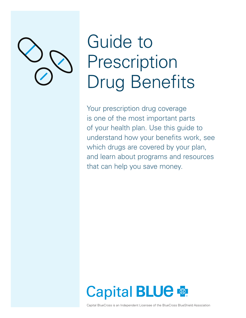

# Guide to Prescription Drug Benefits

Your prescription drug coverage is one of the most important parts of your health plan. Use this guide to understand how your benefits work, see which drugs are covered by your plan, and learn about programs and resources that can help you save money.

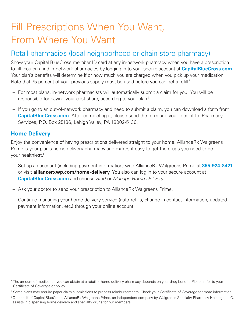# Fill Prescriptions When You Want, From Where You Want

#### Retail pharmacies (local neighborhood or chain store pharmacy)

Show your Capital BlueCross member ID card at any in-network pharmacy when you have a prescription to fill. You can find in-network pharmacies by logging in to your secure account at **CapitalBlueCross.com**. Your plan's benefits will determine if or how much you are charged when you pick up your medication. Note that 75 percent of your previous supply must be used before you can get a refill.\*

- For most plans, in-network pharmacists will automatically submit a claim for you. You will be responsible for paying your cost share, according to your plan.†
- If you go to an out-of-network pharmacy and need to submit a claim, you can download a form from **CapitalBlueCross.com**. After completing it, please send the form and your receipt to: Pharmacy Services, P.O. Box 25136, Lehigh Valley, PA 18002-5136.

#### **Home Delivery**

Enjoy the convenience of having prescriptions delivered straight to your home. AllianceRx Walgreens Prime is your plan's home delivery pharmacy and makes it easy to get the drugs you need to be your healthiest.‡

- Set up an account (including payment information) with AllianceRx Walgreens Prime at **855-924-8421** or visit **alliancerxwp.com/home-delivery**. You also can log in to your secure account at **CapitalBlueCross.com** and choose *Start* or *Manage Home Delivery.*
- Ask your doctor to send your prescription to AllianceRx Walgreens Prime.
- Continue managing your home delivery service (auto-refills, change in contact information, updated payment information, etc.) through your online account.

<sup>\*</sup> The amount of medication you can obtain at a retail or home delivery pharmacy depends on your drug benefit. Please refer to your Certificate of Coverage or policy.

<sup>†</sup> Some plans may require paper claim submissions to process reimbursements. Check your Certificate of Coverage for more information.

<sup>‡</sup> On behalf of Capital BlueCross, AllianceRx Walgreens Prime, an independent company by Walgreens Specialty Pharmacy Holdings, LLC, assists in dispensing home delivery and specialty drugs for our members.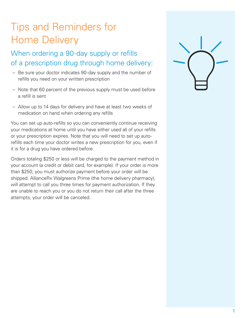# Tips and Reminders for Home Delivery

#### When ordering a 90-day supply or refills of a prescription drug through home delivery:

- Be sure your doctor indicates 90-day supply and the number of refills you need on your written prescription
- Note that 60 percent of the previous supply must be used before a refill is sent
- Allow up to 14 days for delivery and have at least two weeks of medication on hand when ordering any refills

You can set up auto-refills so you can conveniently continue receiving your medications at home until you have either used all of your refills or your prescription expires. Note that you will need to set up autorefills each time your doctor writes a new prescription for you, even if it is for a drug you have ordered before.

Orders totaling \$250 or less will be charged to the payment method in your account (a credit or debit card, for example). If your order is more than \$250, you must authorize payment before your order will be shipped. AllianceRx Walgreens Prime (the home delivery pharmacy), will attempt to call you three times for payment authorization. If they are unable to reach you or you do not return their call after the three attempts, your order will be canceled.

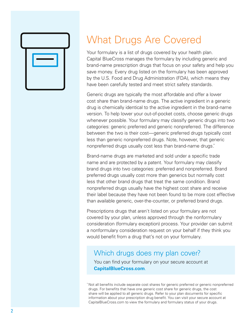

### What Drugs Are Covered

Your formulary is a list of drugs covered by your health plan. Capital BlueCross manages the formulary by including generic and brand-name prescription drugs that focus on your safety and help you save money. Every drug listed on the formulary has been approved by the U.S. Food and Drug Administration (FDA), which means they have been carefully tested and meet strict safety standards.

Generic drugs are typically the most affordable and offer a lower cost share than brand-name drugs. The active ingredient in a generic drug is chemically identical to the active ingredient in the brand-name version. To help lower your out-of-pocket costs, choose generic drugs whenever possible. Your formulary may classify generic drugs into two categories: generic preferred and generic nonpreferred. The difference between the two is their cost—generic preferred drugs typically cost less than generic nonpreferred drugs. Note, however, that generic nonpreferred drugs usually cost less than brand-name drugs.\*

Brand-name drugs are marketed and sold under a specific trade name and are protected by a patent. Your formulary may classify brand drugs into two categories: preferred and nonpreferred. Brand preferred drugs usually cost more than generics but normally cost less that other brand drugs that treat the same condition. Brand nonpreferred drugs usually have the highest cost share and receive their label because they have not been found to be more cost effective than available generic, over-the-counter, or preferred brand drugs.

Prescriptions drugs that aren't listed on your formulary are not covered by your plan, unless approved through the nonformulary consideration (formulary exception) process. Your provider can submit a nonformulary consideration request on your behalf if they think you would benefit from a drug that's not on your formulary.

#### Which drugs does my plan cover?

You can find your formulary on your secure account at **CapitalBlueCross.com**.

\* Not all benefits include separate cost shares for generic preferred or generic nonpreferred drugs. For benefits that have one generic cost share for generic drugs, the cost share will be applied to all generic drugs. Refer to your plan documents for specific information about your prescription drug benefit. You can visit your secure account at CapitalBlueCross.com to view the formulary and formulary status of your drugs.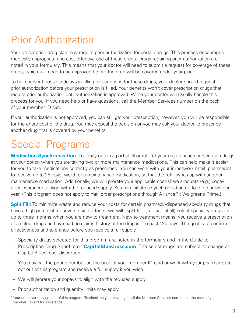### Prior Authorization

Your prescription drug plan may require prior authorization for certain drugs. This process encourages medically appropriate and cost-effective use of these drugs. Drugs requiring prior authorization are noted in your formulary. This means that your doctor will need to submit a request for coverage of these drugs, which will need to be approved before the drug will be covered under your plan.

To help prevent possible delays in filling prescriptions for these drugs, your doctor should request prior authorization before your prescription is filled. Your benefits won't cover prescription drugs that require prior authorization until authorization is approved. While your doctor will usually handle this process for you, if you need help or have questions, call the Member Services number on the back of your member ID card

If your authorization is not approved, you can still get your prescription; however, you will be responsible for the entire cost of the drug. You may appeal the decision or you may ask your doctor to prescribe another drug that is covered by your benefits.

# Special Programs

**Medication Synchronization**: You may obtain a partial fill or refill of your maintenance prescription drugs at your option when you are taking two or more maintenance medications. This can help make it easier for you to take medications correctly as prescribed. You can work with your in-network retail\* pharmacist to receive up to 28 days' worth of a maintenance medication, so that the refill syncs up with another maintenance medication. Additionally, we will prorate your applicable cost-share amounts (e.g., copay or coinsurance) to align with the reduced supply. You can initiate a synchronization up to three times per year. (This program does not apply to mail order prescriptions through AllianceRx Walgreens Prime.)

**Split Fill**: To minimize waste and reduce your costs for certain pharmacy-dispensed specialty drugs that have a high potential for adverse side effects, we will "split fill" (i.e., partial fill) select specialty drugs for up to three months when you are new to treatment. New to treatment means, you receive a prescription of a select drug and have had no claims history of the drug in the past 120 days. The goal is to confirm effectiveness and tolerance before you receive a full supply.

- Specialty drugs selected for this program are noted in the formulary and in the Guide to Prescription Drug Benefits on **CapitalBlueCross.com**. The select drugs are subject to change at Capital BlueCross' discretion
- You may call the phone number on the back of your member ID card or work with your pharmacist to opt out of this program and receive a full supply if you wish
- We will prorate your copays to align with the reduced supply
- Prior authorization and quantity limits may apply

<sup>\*</sup> Your employer may opt out of this program. To check on your coverage, call the Member Services number on the back of your member ID card for assistance.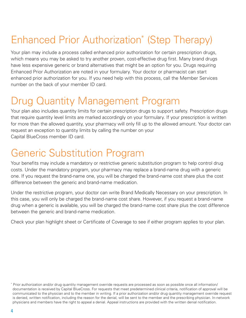# Enhanced Prior Authorization\* (Step Therapy)

Your plan may include a process called enhanced prior authorization for certain prescription drugs, which means you may be asked to try another proven, cost-effective drug first. Many brand drugs have less expensive generic or brand alternatives that might be an option for you. Drugs requiring Enhanced Prior Authorization are noted in your formulary. Your doctor or pharmacist can start enhanced prior authorization for you. If you need help with this process, call the Member Services number on the back of your member ID card.

#### Drug Quantity Management Program

Your plan also includes quantity limits for certain prescription drugs to support safety. Prescription drugs that require quantity level limits are marked accordingly on your formulary. If your prescription is written for more than the allowed quantity, your pharmacy will only fill up to the allowed amount. Your doctor can request an exception to quantity limits by calling the number on your Capital BlueCross member ID card.

### Generic Substitution Program

Your benefits may include a mandatory or restrictive generic substitution program to help control drug costs. Under the mandatory program, your pharmacy may replace a brand-name drug with a generic one. If you request the brand-name one, you will be charged the brand-name cost share plus the cost difference between the generic and brand-name medication.

Under the restrictive program, your doctor can write Brand Medically Necessary on your prescription. In this case, you will only be charged the brand-name cost share. However, if you request a brand-name drug when a generic is available, you will be charged the brand-name cost share plus the cost difference between the generic and brand-name medication.

Check your plan highlight sheet or Certificate of Coverage to see if either program applies to your plan.

<sup>\*</sup> Prior authorization and/or drug quantity management override requests are processed as soon as possible once all information/ documentation is received by Capital BlueCross. For requests that meet predetermined clinical criteria, notification of approval will be communicated to the physician and to the member in writing. If a prior authorization and/or drug quantity management override request is denied, written notification, including the reason for the denial, will be sent to the member and the prescribing physician. In-network physicians and members have the right to appeal a denial. Appeal instructions are provided with the written denial notification.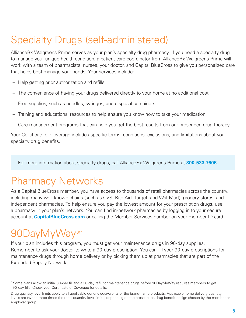# Specialty Drugs (self-administered)

AllianceRx Walgreens Prime serves as your plan's specialty drug pharmacy. If you need a specialty drug to manage your unique health condition, a patient care coordinator from AllianceRx Walgreens Prime will work with a team of pharmacists, nurses, your doctor, and Capital BlueCross to give you personalized care that helps best manage your needs. Your services include:

- Help getting prior authorization and refills
- The convenience of having your drugs delivered directly to your home at no additional cost
- Free supplies, such as needles, syringes, and disposal containers
- Training and educational resources to help ensure you know how to take your medication
- Care management programs that can help you get the best results from our prescribed drug therapy

Your Certificate of Coverage includes specific terms, conditions, exclusions, and limitations about your specialty drug benefits.

For more information about specialty drugs, call AllianceRx Walgreens Prime at **800-533-7606**.

#### Pharmacy Networks

As a Capital BlueCross member, you have access to thousands of retail pharmacies across the country, including many well-known chains (such as CVS, Rite Aid, Target, and Wal-Mart), grocery stores, and independent pharmacies. To help ensure you pay the lowest amount for your prescription drugs, use a pharmacy in your plan's network. You can find in-network pharmacies by logging in to your secure account at **CapitalBlueCross.com** or calling the Member Services number on your member ID card.

### 90DayMyWay<sup>®\*</sup>

If your plan includes this program, you must get your maintenance drugs in 90-day supplies. Remember to ask your doctor to write a 90-day prescription. You can fill your 90-day prescriptions for maintenance drugs through home delivery or by picking them up at pharmacies that are part of the Extended Supply Network.

<sup>\*</sup> Some plans allow an initial 30-day fill and a 30-day refill for maintenance drugs before 90DayMyWay requires members to get 90-day fills. Check your Certificate of Coverage for details.

Drug quantity level limits apply to all applicable generic equivalents of the brand-name products. Applicable home delivery quantity levels are two to three times the retail quantity level limits, depending on the prescription drug benefit design chosen by the member or employer group.